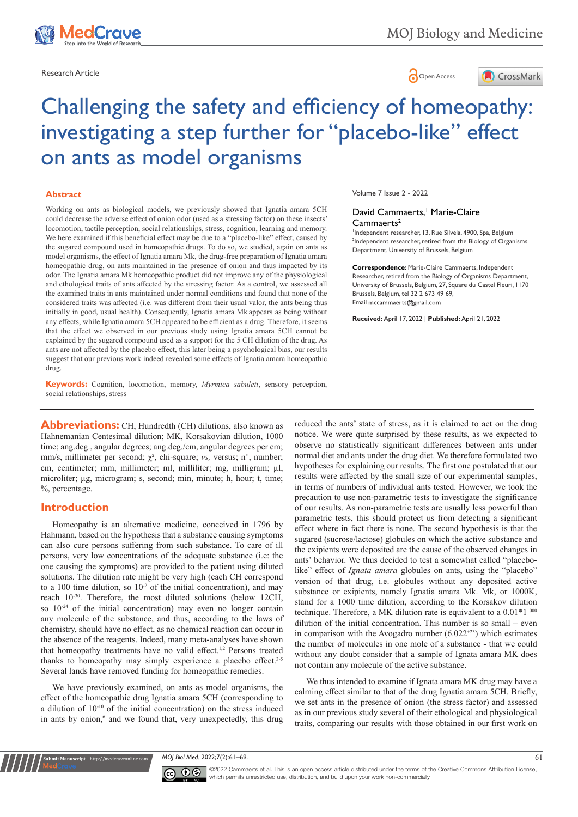

Research Article **Contracts and Contracts and Contracts and Contracts and Contracts and Contracts and Copen Access** 



# Challenging the safety and efficiency of homeopathy: investigating a step further for "placebo-like" effect on ants as model organisms

#### **Abstract**

Working on ants as biological models, we previously showed that Ignatia amara 5CH could decrease the adverse effect of onion odor (used as a stressing factor) on these insects' locomotion, tactile perception, social relationships, stress, cognition, learning and memory. We here examined if this beneficial effect may be due to a "placebo-like" effect, caused by the sugared compound used in homeopathic drugs. To do so, we studied, again on ants as model organisms, the effect of Ignatia amara Mk, the drug-free preparation of Ignatia amara homeopathic drug, on ants maintained in the presence of onion and thus impacted by its odor. The Ignatia amara Mk homeopathic product did not improve any of the physiological and ethological traits of ants affected by the stressing factor. As a control, we assessed all the examined traits in ants maintained under normal conditions and found that none of the considered traits was affected (i.e. was different from their usual valor, the ants being thus initially in good, usual health). Consequently, Ignatia amara Mk appears as being without any effects, while Ignatia amara 5CH appeared to be efficient as a drug. Therefore, it seems that the effect we observed in our previous study using Ignatia amara 5CH cannot be explained by the sugared compound used as a support for the 5 CH dilution of the drug. As ants are not affected by the placebo effect, this later being a psychological bias, our results suggest that our previous work indeed revealed some effects of Ignatia amara homeopathic drug.

**Keywords:** Cognition, locomotion, memory, *Myrmica sabuleti*, sensory perception, social relationships, stress

**Abbreviations:** CH, Hundredth (CH) dilutions, also known as Hahnemanian Centesimal dilution; MK, Korsakovian dilution, 1000 time; ang.deg., angular degrees; ang.deg./cm, angular degrees per cm; mm/s, millimeter per second; χ², chi-square; *vs,* versus; n°, number; cm, centimeter; mm, millimeter; ml, milliliter; mg, milligram; µl, microliter; µg, microgram; s, second; min, minute; h, hour; t, time; %, percentage.

#### **Introduction**

**it Manuscript** | http://medcraveonline.

Homeopathy is an alternative medicine, conceived in 1796 by Hahmann, based on the hypothesis that a substance causing symptoms can also cure persons suffering from such substance. To care of ill persons, very low concentrations of the adequate substance (i.e: the one causing the symptoms) are provided to the patient using diluted solutions. The dilution rate might be very high (each CH correspond to a 100 time dilution, so  $10<sup>-2</sup>$  of the initial concentration), and may reach 10-30. Therefore, the most diluted solutions (below 12CH, so 10-24 of the initial concentration) may even no longer contain any molecule of the substance, and thus, according to the laws of chemistry, should have no effect, as no chemical reaction can occur in the absence of the reagents. Indeed, many meta-analyses have shown that homeopathy treatments have no valid effect.<sup>1,2</sup> Persons treated thanks to homeopathy may simply experience a placebo effect.<sup>3-5</sup> Several lands have removed funding for homeopathic remedies.

We have previously examined, on ants as model organisms, the effect of the homeopathic drug Ignatia amara 5CH (corresponding to a dilution of  $10^{-10}$  of the initial concentration) on the stress induced in ants by onion,<sup>6</sup> and we found that, very unexpectedly, this drug Volume 7 Issue 2 - 2022

#### David Cammaerts,<sup>1</sup> Marie-Claire Cammaerts<sup>2</sup>

1 Independent researcher, 13, Rue Silvela, 4900, Spa, Belgium 2 Independent researcher, retired from the Biology of Organisms Department, University of Brussels, Belgium

**Correspondence:** Marie-Claire Cammaerts, Independent Researcher, retired from the Biology of Organisms Department, University of Brussels, Belgium, 27, Square du Castel Fleuri, 1170 Brussels, Belgium, tel 32 2 673 49 69, Email mccammaerts@gmail.com

**Received:** April 17, 2022 | **Published:** April 21, 2022

reduced the ants' state of stress, as it is claimed to act on the drug notice. We were quite surprised by these results, as we expected to observe no statistically significant differences between ants under normal diet and ants under the drug diet. We therefore formulated two hypotheses for explaining our results. The first one postulated that our results were affected by the small size of our experimental samples, in terms of numbers of individual ants tested. However, we took the precaution to use non-parametric tests to investigate the significance of our results. As non-parametric tests are usually less powerful than parametric tests, this should protect us from detecting a significant effect where in fact there is none. The second hypothesis is that the sugared (sucrose/lactose) globules on which the active substance and the exipients were deposited are the cause of the observed changes in ants' behavior. We thus decided to test a somewhat called "placebolike" effect of *Ignata amara* globules on ants, using the "placebo" version of that drug, i.e. globules without any deposited active substance or exipients, namely Ignatia amara Mk. Mk, or 1000K, stand for a 1000 time dilution, according to the Korsakov dilution technique. Therefore, a MK dilution rate is equivalent to a  $0.01*1^{1000}$ dilution of the initial concentration. This number is so small – even in comparison with the Avogadro number  $(6.022^{+23})$  which estimates the number of molecules in one mole of a substance - that we could without any doubt consider that a sample of Ignata amara MK does not contain any molecule of the active substance.

We thus intended to examine if Ignata amara MK drug may have a calming effect similar to that of the drug Ignatia amara 5CH. Briefly, we set ants in the presence of onion (the stress factor) and assessed as in our previous study several of their ethological and physiological traits, comparing our results with those obtained in our first work on

*MOJ Biol Med.* 2022;7(2):61‒69. 61



©2022 Cammaerts et al. This is an open access article distributed under the terms of the [Creative Commons Attribution License](https://creativecommons.org/licenses/by-nc/4.0/), which permits unrestricted use, distribution, and build upon your work non-commercially.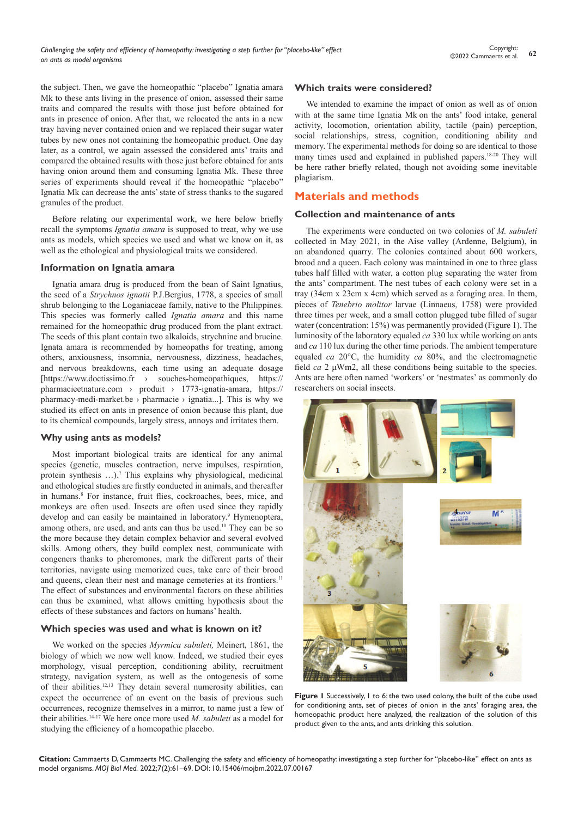the subject. Then, we gave the homeopathic "placebo" Ignatia amara Mk to these ants living in the presence of onion, assessed their same traits and compared the results with those just before obtained for ants in presence of onion. After that, we relocated the ants in a new tray having never contained onion and we replaced their sugar water tubes by new ones not containing the homeopathic product. One day later, as a control, we again assessed the considered ants' traits and compared the obtained results with those just before obtained for ants having onion around them and consuming Ignatia Mk. These three series of experiments should reveal if the homeopathic "placebo" Ignatia Mk can decrease the ants' state of stress thanks to the sugared granules of the product.

Before relating our experimental work, we here below briefly recall the symptoms *Ignatia amara* is supposed to treat, why we use ants as models, which species we used and what we know on it, as well as the ethological and physiological traits we considered.

#### **Information on Ignatia amara**

Ignatia amara drug is produced from the bean of Saint Ignatius, the seed of a *Strychnos ignatii* P.J.Bergius, 1778, a species of small shrub belonging to the Loganiaceae family, native to the Philippines. This species was formerly called *Ignatia amara* and this name remained for the homeopathic drug produced from the plant extract. The seeds of this plant contain two alkaloids, strychnine and brucine. Ignata amara is recommended by homeopaths for treating, among others, anxiousness, insomnia, nervousness, dizziness, headaches, and nervous breakdowns, each time using an adequate dosage [https://www.doctissimo.fr › souches-homeopathiques, https:// pharmacieetnature.com › produit › 1773-ignatia-amara, https:// pharmacy-medi-market.be  $\rightarrow$  pharmacie  $\rightarrow$  ignatia...]. This is why we studied its effect on ants in presence of onion because this plant, due to its chemical compounds, largely stress, annoys and irritates them.

#### **Why using ants as models?**

Most important biological traits are identical for any animal species (genetic, muscles contraction, nerve impulses, respiration, protein synthesis ...).<sup>7</sup> This explains why physiological, medicinal and ethological studies are firstly conducted in animals, and thereafter in humans.<sup>8</sup> For instance, fruit flies, cockroaches, bees, mice, and monkeys are often used. Insects are often used since they rapidly develop and can easily be maintained in laboratory.<sup>9</sup> Hymenoptera, among others, are used, and ants can thus be used.<sup>10</sup> They can be so the more because they detain complex behavior and several evolved skills. Among others, they build complex nest, communicate with congeners thanks to pheromones, mark the different parts of their territories, navigate using memorized cues, take care of their brood and queens, clean their nest and manage cemeteries at its frontiers.<sup>11</sup> The effect of substances and environmental factors on these abilities can thus be examined, what allows emitting hypothesis about the effects of these substances and factors on humans' health.

#### **Which species was used and what is known on it?**

We worked on the species *Myrmica sabuleti,* Meinert, 1861, the biology of which we now well know. Indeed, we studied their eyes morphology, visual perception, conditioning ability, recruitment strategy, navigation system, as well as the ontogenesis of some of their abilities.12,13 They detain several numerosity abilities, can expect the occurrence of an event on the basis of previous such occurrences, recognize themselves in a mirror, to name just a few of their abilities.14-17 We here once more used *M. sabuleti* as a model for studying the efficiency of a homeopathic placebo.

#### **Which traits were considered?**

We intended to examine the impact of onion as well as of onion with at the same time Ignatia Mk on the ants' food intake, general activity, locomotion, orientation ability, tactile (pain) perception, social relationships, stress, cognition, conditioning ability and memory. The experimental methods for doing so are identical to those many times used and explained in published papers.18-20 They will be here rather briefly related, though not avoiding some inevitable plagiarism.

# **Materials and methods**

#### **Collection and maintenance of ants**

The experiments were conducted on two colonies of *M. sabuleti*  collected in May 2021, in the Aise valley (Ardenne, Belgium), in an abandoned quarry. The colonies contained about 600 workers, brood and a queen. Each colony was maintained in one to three glass tubes half filled with water, a cotton plug separating the water from the ants' compartment. The nest tubes of each colony were set in a tray (34cm x 23cm x 4cm) which served as a foraging area. In them, pieces of *Tenebrio molitor* larvae (Linnaeus, 1758) were provided three times per week, and a small cotton plugged tube filled of sugar water (concentration: 15%) was permanently provided (Figure 1). The luminosity of the laboratory equaled *ca* 330 lux while working on ants and *ca* 110 lux during the other time periods. The ambient temperature equaled *ca* 20°C, the humidity *ca* 80%, and the electromagnetic field *ca* 2 μWm2, all these conditions being suitable to the species. Ants are here often named 'workers' or 'nestmates' as commonly do researchers on social insects.



**Figure 1** Successively, 1 to 6: the two used colony, the built of the cube used for conditioning ants, set of pieces of onion in the ants' foraging area, the homeopathic product here analyzed, the realization of the solution of this product given to the ants, and ants drinking this solution.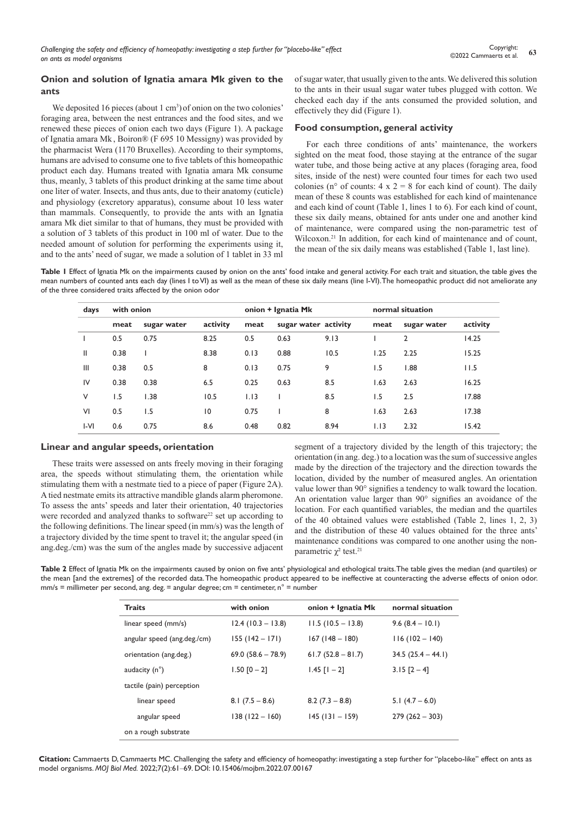# **Onion and solution of Ignatia amara Mk given to the ants**

We deposited 16 pieces (about 1 cm<sup>3</sup>) of onion on the two colonies' foraging area, between the nest entrances and the food sites, and we renewed these pieces of onion each two days (Figure 1). A package of Ignatia amara Mk , Boiron® (F 695 10 Messigny) was provided by the pharmacist Wera (1170 Bruxelles). According to their symptoms, humans are advised to consume one to five tablets of this homeopathic product each day. Humans treated with Ignatia amara Mk consume thus, meanly, 3 tablets of this product drinking at the same time about one liter of water. Insects, and thus ants, due to their anatomy (cuticle) and physiology (excretory apparatus), consume about 10 less water than mammals. Consequently, to provide the ants with an Ignatia amara Mk diet similar to that of humans, they must be provided with a solution of 3 tablets of this product in 100 ml of water. Due to the needed amount of solution for performing the experiments using it, and to the ants' need of sugar, we made a solution of 1 tablet in 33 ml of sugar water, that usually given to the ants. We delivered this solution to the ants in their usual sugar water tubes plugged with cotton. We checked each day if the ants consumed the provided solution, and effectively they did (Figure 1).

### **Food consumption, general activity**

For each three conditions of ants' maintenance, the workers sighted on the meat food, those staying at the entrance of the sugar water tube, and those being active at any places (foraging area, food sites, inside of the nest) were counted four times for each two used colonies (n° of counts:  $4 \times 2 = 8$  for each kind of count). The daily mean of these 8 counts was established for each kind of maintenance and each kind of count (Table 1, lines 1 to 6). For each kind of count, these six daily means, obtained for ants under one and another kind of maintenance, were compared using the non-parametric test of Wilcoxon.21 In addition, for each kind of maintenance and of count, the mean of the six daily means was established (Table 1, last line).

Table I Effect of Ignatia Mk on the impairments caused by onion on the ants' food intake and general activity. For each trait and situation, the table gives the mean numbers of counted ants each day (lines I to VI) as well as the mean of these six daily means (line I-VI). The homeopathic product did not ameliorate any of the three considered traits affected by the onion odor

| days         | with onion |             |             |      | onion + Ignatia Mk   |      |      | normal situation |          |  |  |
|--------------|------------|-------------|-------------|------|----------------------|------|------|------------------|----------|--|--|
|              | meat       | sugar water | activity    | meat | sugar water activity |      | meat | sugar water      | activity |  |  |
|              | 0.5        | 0.75        | 8.25        | 0.5  | 0.63                 | 9.13 |      | 2                | 14.25    |  |  |
| $\mathbf{H}$ | 0.38       |             | 8.38        | 0.13 | 0.88                 | 10.5 | 1.25 | 2.25             | 15.25    |  |  |
| Ш            | 0.38       | 0.5         | 8           | 0.13 | 0.75                 | 9    | 1.5  | 1.88             | 11.5     |  |  |
| IV           | 0.38       | 0.38        | 6.5         | 0.25 | 0.63                 | 8.5  | 1.63 | 2.63             | 16.25    |  |  |
| V            | 1.5        | 1.38        | 10.5        | 1.13 |                      | 8.5  | 1.5  | 2.5              | 17.88    |  |  |
| VI           | 0.5        | 1.5         | $ 0\rangle$ | 0.75 |                      | 8    | 1.63 | 2.63             | 17.38    |  |  |
| $ -V $       | 0.6        | 0.75        | 8.6         | 0.48 | 0.82                 | 8.94 | 1.13 | 2.32             | 15.42    |  |  |

#### **Linear and angular speeds, orientation**

These traits were assessed on ants freely moving in their foraging area, the speeds without stimulating them, the orientation while stimulating them with a nestmate tied to a piece of paper (Figure 2A). A tied nestmate emits its attractive mandible glands alarm pheromone. To assess the ants' speeds and later their orientation, 40 trajectories were recorded and analyzed thanks to software<sup>22</sup> set up according to the following definitions. The linear speed (in mm/s) was the length of a trajectory divided by the time spent to travel it; the angular speed (in ang.deg./cm) was the sum of the angles made by successive adjacent segment of a trajectory divided by the length of this trajectory; the orientation (in ang. deg.) to a location was the sum of successive angles made by the direction of the trajectory and the direction towards the location, divided by the number of measured angles. An orientation value lower than 90° signifies a tendency to walk toward the location. An orientation value larger than 90° signifies an avoidance of the location. For each quantified variables, the median and the quartiles of the 40 obtained values were established (Table 2, lines 1, 2, 3) and the distribution of these 40 values obtained for the three ants' maintenance conditions was compared to one another using the nonparametric  $χ²$  test.<sup>21</sup>

**Table 2** Effect of Ignatia Mk on the impairments caused by onion on five ants' physiological and ethological traits. The table gives the median (and quartiles) or the mean [and the extremes] of the recorded data. The homeopathic product appeared to be ineffective at counteracting the adverse effects of onion odor.  $mm/s = millimeter per second, ang. deg. = angular degree; cm = centimeter, n<sup>o</sup> = number$ 

| <b>Traits</b>               | with onion           | onion + Ignatia Mk  | normal situation    |  |  |
|-----------------------------|----------------------|---------------------|---------------------|--|--|
| linear speed (mm/s)         | $12.4(10.3 - 13.8)$  | $11.5(10.5 - 13.8)$ | $9.6(8.4 - 10.1)$   |  |  |
| angular speed (ang.deg./cm) | $155(142 - 171)$     | $167(148 - 180)$    | $116(102 - 140)$    |  |  |
| orientation (ang.deg.)      | $69.0 (58.6 - 78.9)$ | $61.7(52.8 - 81.7)$ | $34.5(25.4 - 44.1)$ |  |  |
| audacity $(n^{\circ})$      | $1.50$ $[0 - 2]$     | $1.45$ $[1 - 2]$    | $3.15$ $[2 - 4]$    |  |  |
| tactile (pain) perception   |                      |                     |                     |  |  |
| linear speed                | $8.1(7.5 - 8.6)$     | $8.2(7.3 - 8.8)$    | 5.1 $(4.7 - 6.0)$   |  |  |
| angular speed               | $138(122 - 160)$     | $145(131 - 159)$    | $279(262 - 303)$    |  |  |
| on a rough substrate        |                      |                     |                     |  |  |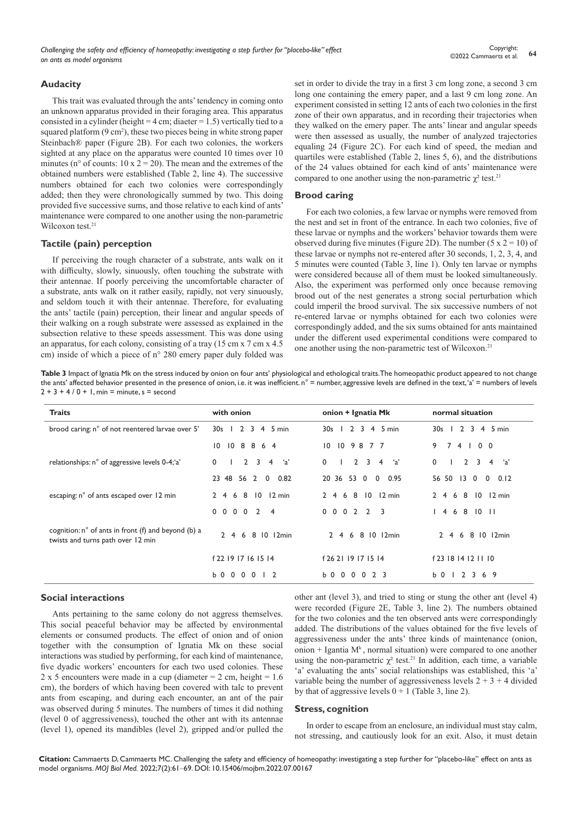*Challenging the safety and efficiency of homeopathy: investigating a step further for "placebo-like" effect on ants as model organisms*

#### **Audacity**

This trait was evaluated through the ants' tendency in coming onto an unknown apparatus provided in their foraging area. This apparatus consisted in a cylinder (height =  $4 \text{ cm}$ ; diaeter = 1.5) vertically tied to a squared platform (9 cm<sup>2</sup>), these two pieces being in white strong paper Steinbach® paper (Figure 2B). For each two colonies, the workers sighted at any place on the apparatus were counted 10 times over 10 minutes (n° of counts:  $10 \times 2 = 20$ ). The mean and the extremes of the obtained numbers were established (Table 2, line 4). The successive numbers obtained for each two colonies were correspondingly added; then they were chronologically summed by two. This doing provided five successive sums, and those relative to each kind of ants' maintenance were compared to one another using the non-parametric Wilcoxon test.<sup>21</sup>

# **Tactile (pain) perception**

If perceiving the rough character of a substrate, ants walk on it with difficulty, slowly, sinuously, often touching the substrate with their antennae. If poorly perceiving the uncomfortable character of a substrate, ants walk on it rather easily, rapidly, not very sinuously, and seldom touch it with their antennae. Therefore, for evaluating the ants' tactile (pain) perception, their linear and angular speeds of their walking on a rough substrate were assessed as explained in the subsection relative to these speeds assessment. This was done using an apparatus, for each colony, consisting of a tray (15 cm x 7 cm x 4.5 cm) inside of which a piece of n° 280 emery paper duly folded was

set in order to divide the tray in a first 3 cm long zone, a second 3 cm long one containing the emery paper, and a last 9 cm long zone. An experiment consisted in setting 12 ants of each two colonies in the first zone of their own apparatus, and in recording their trajectories when they walked on the emery paper. The ants' linear and angular speeds were then assessed as usually, the number of analyzed trajectories equaling 24 (Figure 2C). For each kind of speed, the median and quartiles were established (Table 2, lines 5, 6), and the distributions of the 24 values obtained for each kind of ants' maintenance were compared to one another using the non-parametric  $\chi^2$  test.<sup>21</sup>

#### **Brood caring**

For each two colonies, a few larvae or nymphs were removed from the nest and set in front of the entrance. In each two colonies, five of these larvae or nymphs and the workers' behavior towards them were observed during five minutes (Figure 2D). The number (5 x  $2 = 10$ ) of these larvae or nymphs not re-entered after 30 seconds, 1, 2, 3, 4, and 5 minutes were counted (Table 3, line 1). Only ten larvae or nymphs were considered because all of them must be looked simultaneously. Also, the experiment was performed only once because removing brood out of the nest generates a strong social perturbation which could imperil the brood survival. The six successive numbers of not re-entered larvae or nymphs obtained for each two colonies were correspondingly added, and the six sums obtained for ants maintained under the different used experimental conditions were compared to one another using the non-parametric test of Wilcoxon.21

Table 3 Impact of Ignatia Mk on the stress induced by onion on four ants' physiological and ethological traits. The homeopathic product appeared to not change the ants' affected behavior presented in the presence of onion, i.e. it was inefficient. n° = number, aggressive levels are defined in the text, 'a' = numbers of levels  $2 + 3 + 4 / 0 + 1$ , min = minute, s = second

| <b>Traits</b>                                                                            | with onion                                                   | onion + Ignatia Mk                | normal situation                  |
|------------------------------------------------------------------------------------------|--------------------------------------------------------------|-----------------------------------|-----------------------------------|
| brood caring: n° of not reentered larvae over 5'                                         | 2 3 4 5 min<br>30s<br>-1                                     | $12345$ min<br>30s                | 30s   2 3 4 5 min                 |
|                                                                                          | 10 8 8 6 4<br>$10^{\circ}$                                   | 10 10 9 8 7 7                     | 9<br>74100                        |
| relationships: n° of aggressive levels 0-4;'a'                                           | $2 \t3 \t4$<br>$\mathbf{0}$<br>ʻa'                           | $\mathbf{0}$<br>$2 \t3 \t4 \t a'$ | $\mathbf{0}$<br>$2 \t3 \t4$<br>a' |
|                                                                                          | 23 48 56 2 0 0.82                                            | 20 36 53 0 0<br>0.95              | 56 50 13 0<br>$0 \t 0.12$         |
| escaping: n° of ants escaped over 12 min                                                 | 2 4 6 8 10 12 min                                            | 2 4 6 8 10 12 min                 | 2 4 6 8 10 12 min                 |
|                                                                                          | $0\quad 0\quad 0\quad 0$<br>$\overline{2}$<br>$\overline{4}$ | 0 0 0 2 2 3                       | 4 6 8 10 11                       |
| cognition: n° of ants in front (f) and beyond (b) a<br>twists and turns path over 12 min | 2 4 6 8 10 12min                                             | 2 4 6 8 10 12min                  | 6 8 10 12min<br>$2 \quad 4$       |
|                                                                                          | f 22 19 17 16 15 14                                          | f 26 21 19 17 15 14               | f 23 18 14 12 11 10               |
|                                                                                          | <b>b000012</b>                                               | b 0 0 0 0 2 3                     | b 0 1 2 3 6 9                     |

#### **Social interactions**

Ants pertaining to the same colony do not aggress themselves. This social peaceful behavior may be affected by environmental elements or consumed products. The effect of onion and of onion together with the consumption of Ignatia Mk on these social interactions was studied by performing, for each kind of maintenance, five dyadic workers' encounters for each two used colonies. These 2 x 5 encounters were made in a cup (diameter  $= 2$  cm, height  $= 1.6$ cm), the borders of which having been covered with talc to prevent ants from escaping, and during each encounter, an ant of the pair was observed during 5 minutes. The numbers of times it did nothing (level 0 of aggressiveness), touched the other ant with its antennae (level 1), opened its mandibles (level 2), gripped and/or pulled the other ant (level 3), and tried to sting or stung the other ant (level 4) were recorded (Figure 2E, Table 3, line 2). The numbers obtained for the two colonies and the ten observed ants were correspondingly added. The distributions of the values obtained for the five levels of aggressiveness under the ants' three kinds of maintenance (onion, onion + Igantia  $M^k$ , normal situation) were compared to one another using the non-parametric  $\chi^2$  test.<sup>21</sup> In addition, each time, a variable 'a' evaluating the ants' social relationships was established, this 'a' variable being the number of aggressiveness levels  $2 + 3 + 4$  divided by that of aggressive levels  $0 + 1$  (Table 3, line 2).

#### **Stress, cognition**

In order to escape from an enclosure, an individual must stay calm, not stressing, and cautiously look for an exit. Also, it must detain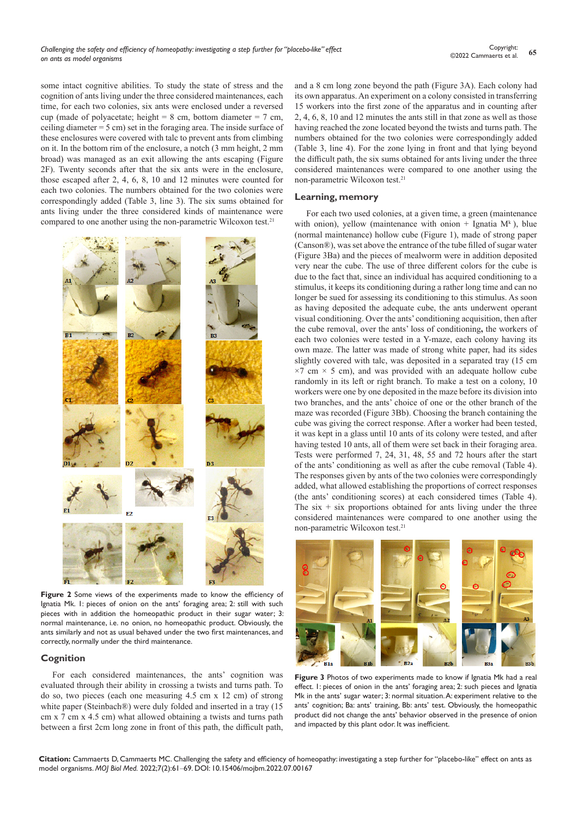some intact cognitive abilities. To study the state of stress and the cognition of ants living under the three considered maintenances, each time, for each two colonies, six ants were enclosed under a reversed cup (made of polyacetate; height = 8 cm, bottom diameter = 7 cm, ceiling diameter = 5 cm) set in the foraging area. The inside surface of these enclosures were covered with talc to prevent ants from climbing on it. In the bottom rim of the enclosure, a notch (3 mm height, 2 mm broad) was managed as an exit allowing the ants escaping (Figure 2F). Twenty seconds after that the six ants were in the enclosure, those escaped after 2, 4, 6, 8, 10 and 12 minutes were counted for each two colonies. The numbers obtained for the two colonies were correspondingly added (Table 3, line 3). The six sums obtained for ants living under the three considered kinds of maintenance were compared to one another using the non-parametric Wilcoxon test.<sup>21</sup>



**Figure 2** Some views of the experiments made to know the efficiency of Ignatia Mk. 1: pieces of onion on the ants' foraging area; 2: still with such pieces with in addition the homeopathic product in their sugar water; 3: normal maintenance, i.e. no onion, no homeopathic product. Obviously, the ants similarly and not as usual behaved under the two first maintenances, and correctly, normally under the third maintenance.

#### **Cognition**

For each considered maintenances, the ants' cognition was evaluated through their ability in crossing a twists and turns path. To do so, two pieces (each one measuring 4.5 cm x 12 cm) of strong white paper (Steinbach®) were duly folded and inserted in a tray (15 cm x 7 cm x 4.5 cm) what allowed obtaining a twists and turns path between a first 2cm long zone in front of this path, the difficult path, and a 8 cm long zone beyond the path (Figure 3A). Each colony had its own apparatus. An experiment on a colony consisted in transferring 15 workers into the first zone of the apparatus and in counting after 2, 4, 6, 8, 10 and 12 minutes the ants still in that zone as well as those having reached the zone located beyond the twists and turns path. The numbers obtained for the two colonies were correspondingly added (Table 3, line 4). For the zone lying in front and that lying beyond the difficult path, the six sums obtained for ants living under the three considered maintenances were compared to one another using the non-parametric Wilcoxon test.21

#### **Learning, memory**

For each two used colonies, at a given time, a green (maintenance with onion), yellow (maintenance with onion + Ignatia  $M<sup>k</sup>$ ), blue (normal maintenance) hollow cube (Figure 1), made of strong paper (Canson®), was set above the entrance of the tube filled of sugar water (Figure 3Ba) and the pieces of mealworm were in addition deposited very near the cube. The use of three different colors for the cube is due to the fact that, since an individual has acquired conditioning to a stimulus, it keeps its conditioning during a rather long time and can no longer be sued for assessing its conditioning to this stimulus. As soon as having deposited the adequate cube, the ants underwent operant visual conditioning. Over the ants' conditioning acquisition, then after the cube removal, over the ants' loss of conditioning**,** the workers of each two colonies were tested in a Y-maze, each colony having its own maze. The latter was made of strong white paper, had its sides slightly covered with talc, was deposited in a separated tray (15 cm  $\times$ 7 cm  $\times$  5 cm), and was provided with an adequate hollow cube randomly in its left or right branch. To make a test on a colony, 10 workers were one by one deposited in the maze before its division into two branches, and the ants' choice of one or the other branch of the maze was recorded (Figure 3Bb). Choosing the branch containing the cube was giving the correct response. After a worker had been tested, it was kept in a glass until 10 ants of its colony were tested, and after having tested 10 ants, all of them were set back in their foraging area. Tests were performed 7, 24, 31, 48, 55 and 72 hours after the start of the ants' conditioning as well as after the cube removal (Table 4). The responses given by ants of the two colonies were correspondingly added, what allowed establishing the proportions of correct responses (the ants' conditioning scores) at each considered times (Table 4). The six  $+$  six proportions obtained for ants living under the three considered maintenances were compared to one another using the non-parametric Wilcoxon test.21



Figure 3 Photos of two experiments made to know if Ignatia Mk had a real effect. 1: pieces of onion in the ants' foraging area; 2: such pieces and Ignatia Mk in the ants' sugar water; 3: normal situation. A: experiment relative to the ants' cognition; Ba: ants' training, Bb: ants' test. Obviously, the homeopathic product did not change the ants' behavior observed in the presence of onion and impacted by this plant odor. It was inefficient.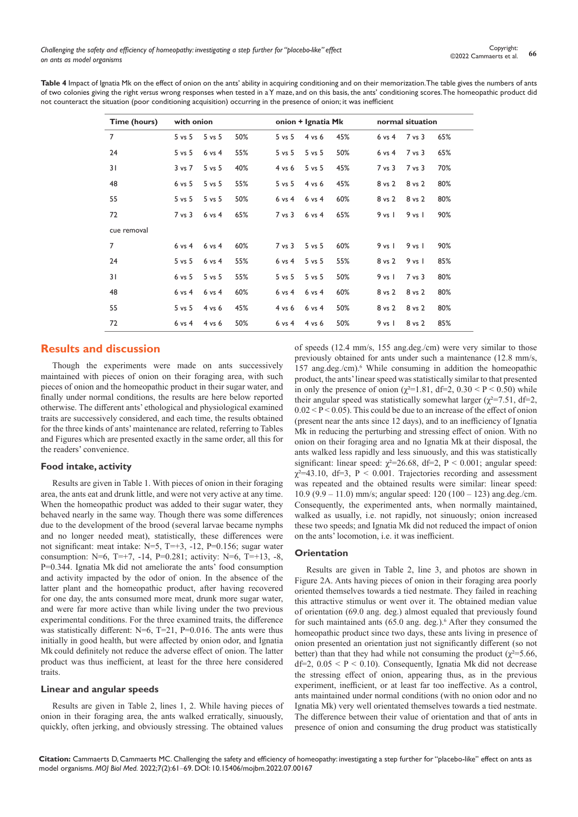Table 4 Impact of Ignatia Mk on the effect of onion on the ants' ability in acquiring conditioning and on their memorization. The table gives the numbers of ants of two colonies giving the right *versus* wrong responses when tested in a Y maze, and on this basis, the ants' conditioning scores. The homeopathic product did not counteract the situation (poor conditioning acquisition) occurring in the presence of onion; it was inefficient

| Time (hours)   | with onion        |            |     | onion + Ignatia Mk |            |     |                   | normal situation |     |  |
|----------------|-------------------|------------|-----|--------------------|------------|-----|-------------------|------------------|-----|--|
| 7              | $5$ vs $5$        | $5$ vs $5$ | 50% | $5 \text{ vs } 5$  | $4$ vs 6   | 45% | $6 \text{ vs } 4$ | $7$ vs $3$       | 65% |  |
| 24             | $5$ vs $5$        | $6$ vs $4$ | 55% | $5 \text{ vs } 5$  | $5$ vs $5$ | 50% | $6 \text{ vs } 4$ | 7 vs 3           | 65% |  |
| 31             | $3 \text{ vs } 7$ | $5$ vs $5$ | 40% | $4$ vs $6$         | $5$ vs $5$ | 45% | $7$ vs $3$        | $7$ vs $3$       | 70% |  |
| 48             | $6$ vs $5$        | $5$ vs $5$ | 55% | $5$ vs $5$         | $4$ vs $6$ | 45% | 8 vs 2            | 8 vs 2           | 80% |  |
| 55             | $5$ vs $5$        | $5$ vs $5$ | 50% | $6$ vs $4$         | $6$ vs $4$ | 60% | 8 vs 2            | 8 vs 2           | 80% |  |
| 72             | $7$ vs $3$        | $6$ vs $4$ | 65% | $7$ vs $3$         | $6$ vs $4$ | 65% | $9$ vs $1$        | $9$ vs $1$       | 90% |  |
| cue removal    |                   |            |     |                    |            |     |                   |                  |     |  |
| $\overline{7}$ | $6$ vs $4$        | $6$ vs $4$ | 60% | $7$ vs $3$         | $5$ vs $5$ | 60% | $9$ vs $1$        | $9$ vs $1$       | 90% |  |
| 24             | $5$ vs $5$        | $6$ vs $4$ | 55% | $6$ vs $4$         | $5$ vs $5$ | 55% | 8 vs 2            | $9$ vs $1$       | 85% |  |
| 31             | $6$ vs $5$        | $5$ vs $5$ | 55% | $5$ vs $5$         | $5$ vs $5$ | 50% | $9$ vs $1$        | $7$ vs $3$       | 80% |  |
| 48             | $6$ vs $4$        | $6$ vs $4$ | 60% | $6$ vs $4$         | $6$ vs $4$ | 60% | 8 vs 2            | 8 vs 2           | 80% |  |
| 55             | $5$ vs $5$        | $4$ vs $6$ | 45% | $4$ vs $6$         | $6$ vs $4$ | 50% | 8 vs 2            | 8 vs 2           | 80% |  |
| 72             | $6$ vs $4$        | $4$ vs 6   | 50% | $6$ vs $4$         | $4$ vs 6   | 50% | $9$ vs $1$        | 8 vs 2           | 85% |  |

# **Results and discussion**

Though the experiments were made on ants successively maintained with pieces of onion on their foraging area, with such pieces of onion and the homeopathic product in their sugar water, and finally under normal conditions, the results are here below reported otherwise. The different ants' ethological and physiological examined traits are successively considered, and each time, the results obtained for the three kinds of ants' maintenance are related, referring to Tables and Figures which are presented exactly in the same order, all this for the readers' convenience.

# **Food intake, activity**

Results are given in Table 1. With pieces of onion in their foraging area, the ants eat and drunk little, and were not very active at any time. When the homeopathic product was added to their sugar water, they behaved nearly in the same way. Though there was some differences due to the development of the brood (several larvae became nymphs and no longer needed meat), statistically, these differences were not significant: meat intake: N=5, T=+3, -12, P=0.156; sugar water consumption: N=6, T=+7, -14, P=0.281; activity: N=6, T=+13, -8, P=0.344. Ignatia Mk did not ameliorate the ants' food consumption and activity impacted by the odor of onion. In the absence of the latter plant and the homeopathic product, after having recovered for one day, the ants consumed more meat, drunk more sugar water, and were far more active than while living under the two previous experimental conditions. For the three examined traits, the difference was statistically different: N=6, T=21, P=0.016. The ants were thus initially in good health, but were affected by onion odor, and Ignatia Mk could definitely not reduce the adverse effect of onion. The latter product was thus inefficient, at least for the three here considered traits.

#### **Linear and angular speeds**

Results are given in Table 2, lines 1, 2. While having pieces of onion in their foraging area, the ants walked erratically, sinuously, quickly, often jerking, and obviously stressing. The obtained values

of speeds (12.4 mm/s, 155 ang.deg./cm) were very similar to those previously obtained for ants under such a maintenance (12.8 mm/s, 157 ang.deg./cm).<sup>6</sup> While consuming in addition the homeopathic product, the ants' linear speed was statistically similar to that presented in only the presence of onion ( $\gamma^2$ =1.81, df=2, 0.30 < P < 0.50) while their angular speed was statistically somewhat larger ( $\chi^2$ =7.51, df=2,  $0.02 < P < 0.05$ ). This could be due to an increase of the effect of onion (present near the ants since 12 days), and to an inefficiency of Ignatia Mk in reducing the perturbing and stressing effect of onion. With no onion on their foraging area and no Ignatia Mk at their disposal, the ants walked less rapidly and less sinuously, and this was statistically significant: linear speed:  $\gamma^2 = 26.68$ , df=2, P < 0.001; angular speed:  $\gamma^2 = 43.10$ , df=3, P < 0.001. Trajectories recording and assessment was repeated and the obtained results were similar: linear speed: 10.9 (9.9 – 11.0) mm/s; angular speed: 120 (100 – 123) ang.deg./cm. Consequently, the experimented ants, when normally maintained, walked as usually, i.e. not rapidly, not sinuously; onion increased these two speeds; and Ignatia Mk did not reduced the impact of onion on the ants' locomotion, i.e. it was inefficient.

#### **Orientation**

Results are given in Table 2, line 3, and photos are shown in Figure 2A. Ants having pieces of onion in their foraging area poorly oriented themselves towards a tied nestmate. They failed in reaching this attractive stimulus or went over it. The obtained median value of orientation (69.0 ang. deg.) almost equaled that previously found for such maintained ants (65.0 ang. deg.).<sup>6</sup> After they consumed the homeopathic product since two days, these ants living in presence of onion presented an orientation just not significantly different (so not better) than that they had while not consuming the product ( $\gamma^2 = 5.66$ , df=2,  $0.05 \le P \le 0.10$ ). Consequently, Ignatia Mk did not decrease the stressing effect of onion, appearing thus, as in the previous experiment, inefficient, or at least far too ineffective. As a control, ants maintained under normal conditions (with no onion odor and no Ignatia Mk) very well orientated themselves towards a tied nestmate. The difference between their value of orientation and that of ants in presence of onion and consuming the drug product was statistically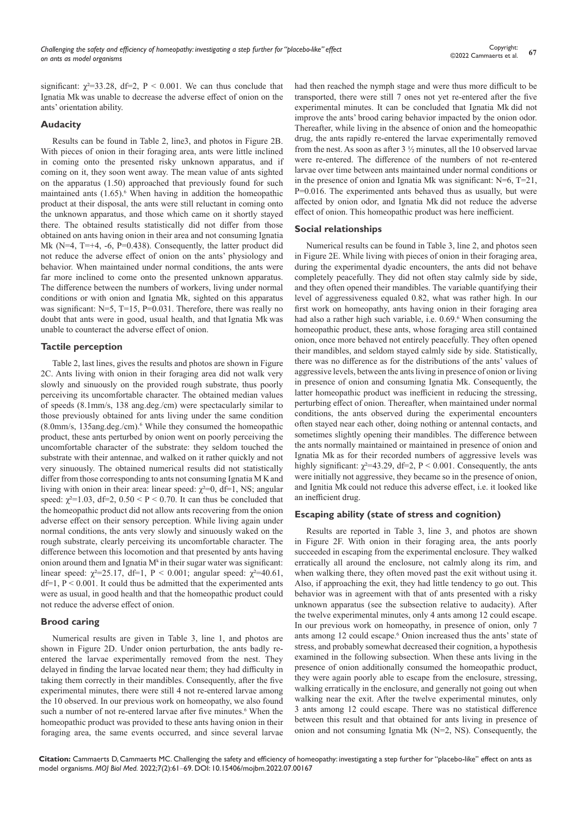significant:  $\chi^2$ =33.28, df=2, P < 0.001. We can thus conclude that Ignatia Mk was unable to decrease the adverse effect of onion on the ants' orientation ability.

### **Audacity**

Results can be found in Table 2, line3, and photos in Figure 2B. With pieces of onion in their foraging area, ants were little inclined in coming onto the presented risky unknown apparatus, and if coming on it, they soon went away. The mean value of ants sighted on the apparatus (1.50) approached that previously found for such maintained ants  $(1.65)$ .<sup>6</sup> When having in addition the homeopathic product at their disposal, the ants were still reluctant in coming onto the unknown apparatus, and those which came on it shortly stayed there. The obtained results statistically did not differ from those obtained on ants having onion in their area and not consuming Ignatia Mk (N=4, T=+4, -6, P=0.438). Consequently, the latter product did not reduce the adverse effect of onion on the ants' physiology and behavior. When maintained under normal conditions, the ants were far more inclined to come onto the presented unknown apparatus. The difference between the numbers of workers, living under normal conditions or with onion and Ignatia Mk, sighted on this apparatus was significant: N=5, T=15, P=0.031. Therefore, there was really no doubt that ants were in good, usual health, and that Ignatia Mk was unable to counteract the adverse effect of onion.

#### **Tactile perception**

Table 2, last lines, gives the results and photos are shown in Figure 2C. Ants living with onion in their foraging area did not walk very slowly and sinuously on the provided rough substrate, thus poorly perceiving its uncomfortable character. The obtained median values of speeds (8.1mm/s, 138 ang.deg./cm) were spectacularly similar to those previously obtained for ants living under the same condition (8.0mm/s, 135ang.deg./cm).<sup>6</sup> While they consumed the homeopathic product, these ants perturbed by onion went on poorly perceiving the uncomfortable character of the substrate: they seldom touched the substrate with their antennae, and walked on it rather quickly and not very sinuously. The obtained numerical results did not statistically differ from those corresponding to ants not consuming Ignatia M K and living with onion in their area: linear speed:  $\chi^2=0$ , df=1, NS; angular speed:  $\chi^2$ =1.03, df=2, 0.50 < P < 0.70. It can thus be concluded that the homeopathic product did not allow ants recovering from the onion adverse effect on their sensory perception. While living again under normal conditions, the ants very slowly and sinuously waked on the rough substrate, clearly perceiving its uncomfortable character. The difference between this locomotion and that presented by ants having onion around them and Ignatia  $M^k$  in their sugar water was significant: linear speed:  $\chi^2 = 25.17$ , df=1, P < 0.001; angular speed:  $\chi^2 = 40.61$ ,  $df=1$ ,  $P < 0.001$ . It could thus be admitted that the experimented ants were as usual, in good health and that the homeopathic product could not reduce the adverse effect of onion.

#### **Brood caring**

Numerical results are given in Table 3, line 1, and photos are shown in Figure 2D. Under onion perturbation, the ants badly reentered the larvae experimentally removed from the nest. They delayed in finding the larvae located near them; they had difficulty in taking them correctly in their mandibles. Consequently, after the five experimental minutes, there were still 4 not re-entered larvae among the 10 observed. In our previous work on homeopathy, we also found such a number of not re-entered larvae after five minutes.<sup>6</sup> When the homeopathic product was provided to these ants having onion in their foraging area, the same events occurred, and since several larvae

had then reached the nymph stage and were thus more difficult to be transported, there were still 7 ones not yet re-entered after the five experimental minutes. It can be concluded that Ignatia Mk did not improve the ants' brood caring behavior impacted by the onion odor. Thereafter, while living in the absence of onion and the homeopathic drug, the ants rapidly re-entered the larvae experimentally removed from the nest. As soon as after 3 ½ minutes, all the 10 observed larvae were re-entered. The difference of the numbers of not re-entered larvae over time between ants maintained under normal conditions or in the presence of onion and Ignatia Mk was significant:  $N=6$ ,  $T=21$ , P=0.016. The experimented ants behaved thus as usually, but were affected by onion odor, and Ignatia Mk did not reduce the adverse effect of onion. This homeopathic product was here inefficient.

#### **Social relationships**

Numerical results can be found in Table 3, line 2, and photos seen in Figure 2E. While living with pieces of onion in their foraging area, during the experimental dyadic encounters, the ants did not behave completely peacefully. They did not often stay calmly side by side, and they often opened their mandibles. The variable quantifying their level of aggressiveness equaled 0.82, what was rather high. In our first work on homeopathy, ants having onion in their foraging area had also a rather high such variable, i.e. 0.69.<sup>6</sup> When consuming the homeopathic product, these ants, whose foraging area still contained onion, once more behaved not entirely peacefully. They often opened their mandibles, and seldom stayed calmly side by side. Statistically, there was no difference as for the distributions of the ants' values of aggressive levels, between the ants living in presence of onion or living in presence of onion and consuming Ignatia Mk. Consequently, the latter homeopathic product was inefficient in reducing the stressing, perturbing effect of onion. Thereafter, when maintained under normal conditions, the ants observed during the experimental encounters often stayed near each other, doing nothing or antennal contacts, and sometimes slightly opening their mandibles. The difference between the ants normally maintained or maintained in presence of onion and Ignatia Mk as for their recorded numbers of aggressive levels was highly significant:  $\chi^2$ =43.29, df=2, P < 0.001. Consequently, the ants were initially not aggressive, they became so in the presence of onion, and Ignitia Mk could not reduce this adverse effect, i.e. it looked like an inefficient drug.

#### **Escaping ability (state of stress and cognition)**

Results are reported in Table 3, line 3, and photos are shown in Figure 2F. With onion in their foraging area, the ants poorly succeeded in escaping from the experimental enclosure. They walked erratically all around the enclosure, not calmly along its rim, and when walking there, they often moved past the exit without using it. Also, if approaching the exit, they had little tendency to go out. This behavior was in agreement with that of ants presented with a risky unknown apparatus (see the subsection relative to audacity). After the twelve experimental minutes, only 4 ants among 12 could escape. In our previous work on homeopathy, in presence of onion, only 7 ants among 12 could escape.<sup>6</sup> Onion increased thus the ants' state of stress, and probably somewhat decreased their cognition, a hypothesis examined in the following subsection. When these ants living in the presence of onion additionally consumed the homeopathic product, they were again poorly able to escape from the enclosure, stressing, walking erratically in the enclosure, and generally not going out when walking near the exit. After the twelve experimental minutes, only 3 ants among 12 could escape. There was no statistical difference between this result and that obtained for ants living in presence of onion and not consuming Ignatia Mk (N=2, NS). Consequently, the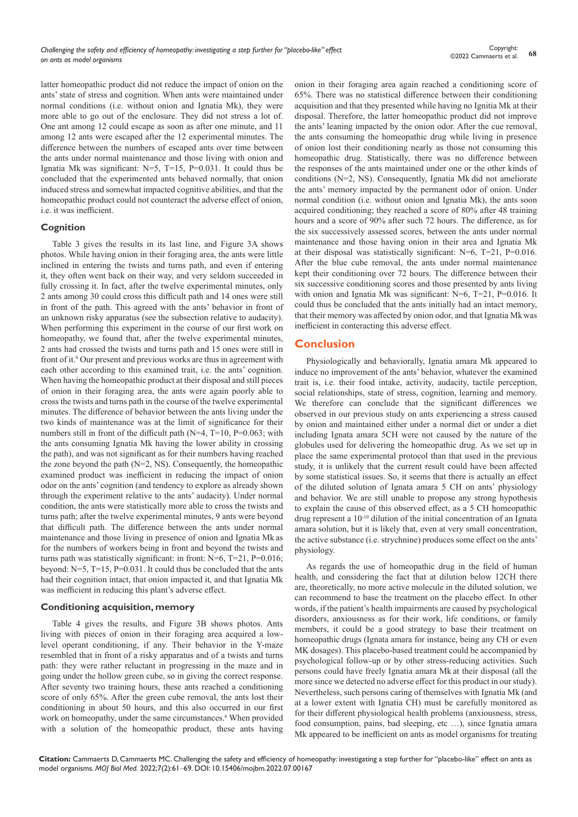latter homeopathic product did not reduce the impact of onion on the ants' state of stress and cognition. When ants were maintained under normal conditions (i.e. without onion and Ignatia Mk), they were more able to go out of the enclosure. They did not stress a lot of. One ant among 12 could escape as soon as after one minute, and 11 among 12 ants were escaped after the 12 experimental minutes. The difference between the numbers of escaped ants over time between the ants under normal maintenance and those living with onion and Ignatia Mk was significant:  $N=5$ , T=15, P=0.031. It could thus be concluded that the experimented ants behaved normally, that onion induced stress and somewhat impacted cognitive abilities, and that the homeopathic product could not counteract the adverse effect of onion, i.e. it was inefficient.

#### **Cognition**

Table 3 gives the results in its last line, and Figure 3A shows photos. While having onion in their foraging area, the ants were little inclined in entering the twists and turns path, and even if entering it, they often went back on their way, and very seldom succeeded in fully crossing it. In fact, after the twelve experimental minutes, only 2 ants among 30 could cross this difficult path and 14 ones were still in front of the path. This agreed with the ants' behavior in front of an unknown risky apparatus (see the subsection relative to audacity). When performing this experiment in the course of our first work on homeopathy, we found that, after the twelve experimental minutes, 2 ants had crossed the twists and turns path and 15 ones were still in front of it.<sup>6</sup> Our present and previous works are thus in agreement with each other according to this examined trait, i.e. the ants' cognition. When having the homeopathic product at their disposal and still pieces of onion in their foraging area, the ants were again poorly able to cross the twists and turns path in the course of the twelve experimental minutes. The difference of behavior between the ants living under the two kinds of maintenance was at the limit of significance for their numbers still in front of the difficult path  $(N=4, T=10, P=0.063;$  with the ants consuming Ignatia Mk having the lower ability in crossing the path), and was not significant as for their numbers having reached the zone beyond the path (N=2, NS). Consequently, the homeopathic examined product was inefficient in reducing the impact of onion odor on the ants' cognition (and tendency to explore as already shown through the experiment relative to the ants' audacity). Under normal condition, the ants were statistically more able to cross the twists and turns path; after the twelve experimental minutes, 9 ants were beyond that difficult path. The difference between the ants under normal maintenance and those living in presence of onion and Ignatia Mk as for the numbers of workers being in front and beyond the twists and turns path was statistically significant: in front:  $N=6$ ,  $T=21$ ,  $P=0.016$ ; beyond:  $N=5$ ,  $T=15$ ,  $P=0.031$ . It could thus be concluded that the ants had their cognition intact, that onion impacted it, and that Ignatia Mk was inefficient in reducing this plant's adverse effect.

#### **Conditioning acquisition, memory**

Table 4 gives the results, and Figure 3B shows photos. Ants living with pieces of onion in their foraging area acquired a lowlevel operant conditioning, if any. Their behavior in the Y-maze resembled that in front of a risky apparatus and of a twists and turns path: they were rather reluctant in progressing in the maze and in going under the hollow green cube, so in giving the correct response. After seventy two training hours, these ants reached a conditioning score of only 65%. After the green cube removal, the ants lost their conditioning in about 50 hours, and this also occurred in our first work on homeopathy, under the same circumstances.<sup>6</sup> When provided with a solution of the homeopathic product, these ants having

onion in their foraging area again reached a conditioning score of 65%. There was no statistical difference between their conditioning acquisition and that they presented while having no Ignitia Mk at their disposal. Therefore, the latter homeopathic product did not improve the ants' leaning impacted by the onion odor. After the cue removal, the ants consuming the homeopathic drug while living in presence of onion lost their conditioning nearly as those not consuming this homeopathic drug. Statistically, there was no difference between the responses of the ants maintained under one or the other kinds of conditions (N=2, NS). Consequently, Ignatia Mk did not ameliorate the ants' memory impacted by the permanent odor of onion. Under normal condition (i.e. without onion and Ignatia Mk), the ants soon acquired conditioning; they reached a score of 80% after 48 training hours and a score of 90% after such 72 hours. The difference, as for the six successively assessed scores, between the ants under normal maintenance and those having onion in their area and Ignatia Mk at their disposal was statistically significant: N=6, T=21, P=0.016. After the blue cube removal, the ants under normal maintenance kept their conditioning over 72 hours. The difference between their six successive conditioning scores and those presented by ants living with onion and Ignatia Mk was significant:  $N=6$ ,  $T=21$ ,  $P=0.016$ . It could thus be concluded that the ants initially had an intact memory, that their memory was affected by onion odor, and that Ignatia Mkwas inefficient in conteracting this adverse effect.

# **Conclusion**

Physiologically and behaviorally, Ignatia amara Mk appeared to induce no improvement of the ants' behavior, whatever the examined trait is, i.e. their food intake, activity, audacity, tactile perception, social relationships, state of stress, cognition, learning and memory. We therefore can conclude that the significant differences we observed in our previous study on ants experiencing a stress caused by onion and maintained either under a normal diet or under a diet including Ignata amara 5CH were not caused by the nature of the globules used for delivering the homeopathic drug. As we set up in place the same experimental protocol than that used in the previous study, it is unlikely that the current result could have been affected by some statistical issues. So, it seems that there is actually an effect of the diluted solution of Ignata amara 5 CH on ants' physiology and behavior. We are still unable to propose any strong hypothesis to explain the cause of this observed effect, as a 5 CH homeopathic drug represent a 10-10 dilution of the initial concentration of an Ignata amara solution, but it is likely that, even at very small concentration, the active substance (i.e. strychnine) produces some effect on the ants' physiology.

As regards the use of homeopathic drug in the field of human health, and considering the fact that at dilution below 12CH there are, theoretically, no more active molecule in the diluted solution, we can recommend to base the treatment on the placebo effect. In other words, if the patient's health impairments are caused by psychological disorders, anxiousness as for their work, life conditions, or family members, it could be a good strategy to base their treatment on homeopathic drugs (Ignata amara for instance, being any CH or even MK dosages). This placebo-based treatment could be accompanied by psychological follow-up or by other stress-reducing activities. Such persons could have freely Ignatia amara Mk at their disposal (all the more since we detected no adverse effect for this product in our study). Nevertheless, such persons caring of themselves with Ignatia Mk (and at a lower extent with Ignatia CH) must be carefully monitored as for their different physiological health problems (anxiousness, stress, food consumption, pains, bad sleeping, etc …), since Ignatia amara Mk appeared to be inefficient on ants as model organisms for treating